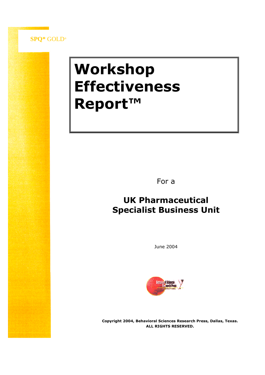

# **Workshop Effectiveness Report™**

For a

# **UK Pharmaceutical Specialist Business Unit**

June 2004



**Copyright 2004, Behavioral Sciences Research Press, Dallas, Texas. ALL RIGHTS RESERVED.**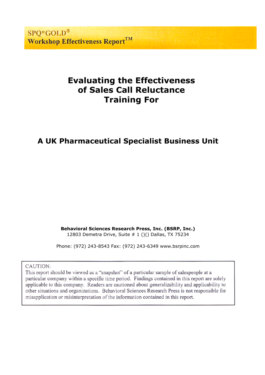**SPO\*GOLD® Workshop Effectiveness ReportTM** 

# **Evaluating the Effectiveness of Sales Call Reluctance Training For**

# **A UK Pharmaceutical Specialist Business Unit**

**Behavioral Sciences Research Press, Inc. (BSRP, Inc.)** 12803 Demetra Drive, Suite # 1 ()() Dallas, TX 75234

Phone: (972) 243-8543 Fax: (972) 243-6349 www.bsrpinc.com

CAUTION:

This report should be viewed as a "snapshot" of a particular sample of salespeople at a particular company within a specific time period. Findings contained in this report are solely applicable to this company. Readers are cautioned about generalizability and applicability to other situations and organizations. Behavioral Sciences Research Press is not responsible for misapplication or misinterpretation of the information contained in this report.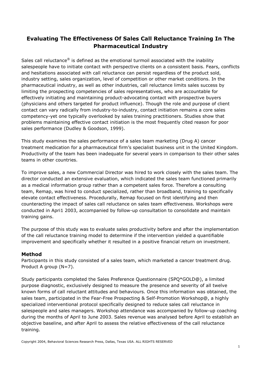## **Evaluating The Effectiveness Of Sales Call Reluctance Training In The Pharmaceutical Industry**

Sales call reluctance<sup>®</sup> is defined as the emotional turmoil associated with the inability salespeople have to initiate contact with perspective clients on a consistent basis. Fears, conflicts and hesitations associated with call reluctance can persist regardless of the product sold, industry setting, sales organization, level of competition or other market conditions. In the pharmaceutical industry, as well as other industries, call reluctance limits sales success by limiting the prospecting competencies of sales representatives, who are accountable for effectively initiating and maintaining product-advocating contact with prospective buyers (physicians and others targeted for product influence). Though the role and purpose of client contact can vary radically from industry-to-industry, contact initiation remains a core sales competency-yet one typically overlooked by sales training practitioners. Studies show that problems maintaining effective contact initiation is the most frequently cited reason for poor sales performance (Dudley & Goodson, 1999).

This study examines the sales performance of a sales team marketing (Drug A) cancer treatment medication for a pharmaceutical firm's specialist business unit in the United Kingdom. Productivity of the team has been inadequate for several years in comparison to their other sales teams in other countries.

To improve sales, a new Commercial Director was hired to work closely with the sales team. The director conducted an extensive evaluation, which indicated the sales team functioned primarily as a medical information group rather than a competent sales force. Therefore a consulting team, Remap, was hired to conduct specialized, rather than broadband, training to specifically elevate contact effectiveness. Procedurally, Remap focused on first identifying and then counteracting the impact of sales call reluctance on sales team effectiveness. Workshops were conducted in Apri1 2003, accompanied by follow-up consultation to consolidate and maintain training gains.

The purpose of this study was to evaluate sales productivity before and after the implementation of the call reluctance training model to determine if the intervention yielded a quantifiable improvement and specifically whether it resulted in a positive financial return on investment.

#### **Method**

Participants in this study consisted of a sales team, which marketed a cancer treatment drug. Product A group (N=7).

Study participants completed the Sales Preference Questionnaire (SPQ\*GOLD@), a limited purpose diagnostic, exclusively designed to measure the presence and severity of all twelve known forms of call reluctant attitudes and behaviours. Once this information was obtained, the sales team, participated in the Fear-Free Prospecting & Self-Promotion Workshop@, a highly specialized interventional protocol specifically designed to reduce sales call reluctance in salespeople and sales managers. Workshop attendance was accompanied by follow-up coaching during the months of April to June 2003. Sales revenue was analysed before April to establish an objective baseline, and after April to assess the relative effectiveness of the call reluctance training.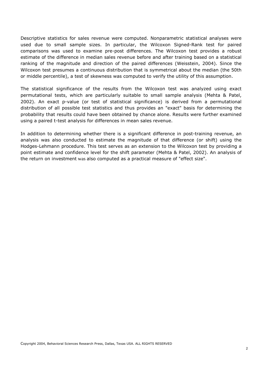Descriptive statistics for sales revenue were computed. Nonparametric statistical analyses were used due to small sample sizes. In particular, the Wilcoxon Signed-Rank test for paired comparisons was used to examine pre-post differences. The Wilcoxon test provides a robust estimate of the difference in median sales revenue before and after training based on a statistical ranking of the magnitude and direction of the paired differences (Weisstein, 2004). Since the Wilcoxon test presumes a continuous distribution that is symmetrical about the median (the 50th or middle percentile), a test of skewness was computed to verify the utility of this assumption.

The statistical significance of the results from the Wilcoxon test was analyzed using exact permutational tests, which are particularly suitable to small sample analysis (Mehta & Patel, 2002). An exact p-value (or test of statistical significance) is derived from a permutational distribution of all possible test statistics and thus provides an "exact" basis for determining the probability that results could have been obtained by chance alone. Results were further examined using a paired t-test analysis for differences in mean sales revenue.

In addition to determining whether there is a significant difference in post-training revenue, an analysis was also conducted to estimate the magnitude of that difference (or shift) using the Hodges-Lehmann procedure. This test serves as an extension to the Wilcoxon test by providing a point estimate and confidence level for the shift parameter (Mehta & Patel, 2002). An analysis of the return on investment was also computed as a practical measure of "effect size".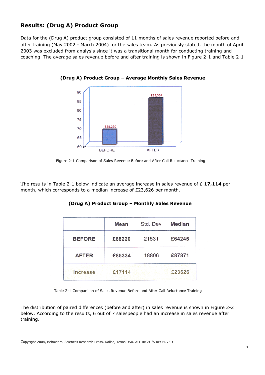## **Results: (Drug A) Product Group**

Data for the (Drug A) product group consisted of 11 months of sales revenue reported before and after training (May 2002 - March 2004) for the sales team. As previously stated, the month of April 2003 was excluded from analysis since it was a transitional month for conducting training and coaching. The average sales revenue before and after training is shown in Figure 2-1 and Table 2-1



**(Drug A) Product Group –Average Monthly Sales Revenue**

Figure 2-1 Comparison of Sales Revenue Before and After Call Reluctance Training

The results in Table 2-1 below indicate an average increase in sales revenue of £ **17,114** per month, which corresponds to a median increase of £23,626 per month.

#### **(Drug A) Product Group –Monthly Sales Revenue**

|                 | Mean   | Std. Dev | <b>Median</b><br>£64245 |  |
|-----------------|--------|----------|-------------------------|--|
| <b>BEFORE</b>   | £68220 | 21531    |                         |  |
| <b>AFTER</b>    | £85334 | 18806    | £87871                  |  |
| <b>Increase</b> | £17114 |          | £23626                  |  |

Table 2-1 Comparison of Sales Revenue Before and After Call Reluctance Training

The distribution of paired differences (before and after) in sales revenue is shown in Figure 2-2 below. According to the results, 6 out of 7 salespeople had an increase in sales revenue after training.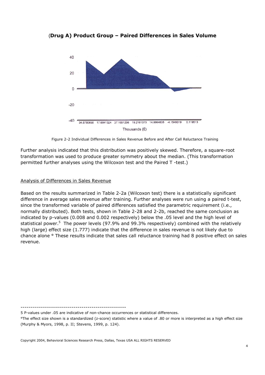(**Drug A) Product Group –Paired Differences in Sales Volume**



Figure 2-2 Individual Differences in Sales Revenue Before and After Call Reluctance Training

Further analysis indicated that this distribution was positively skewed. Therefore, a square-root transformation was used to produce greater symmetry about the median. (This transformation permitted further analyses using the Wilcoxon test and the Paired T -test.)

#### Analysis of Differences in Sales Revenue

Based on the results summarized in Table 2-2a (Wilcoxon test) there is a statistically significant difference in average sales revenue after training. Further analyses were run using a paired t-test, since the transformed variable of paired differences satisfied the parametric requirement (i.e., normally distributed). Both tests, shown in Table 2-28 and 2-2b, reached the same conclusion as indicated by p-values (0.008 and 0.002 respectively) below the .05 level and the high level of statistical power.<sup>5</sup> The power levels (97.9% and 99.3% respectively) combined with the relatively high (large) effect size (1.777) indicate that the difference in sales revenue is not likely due to chance alone ° These results indicate that sales call reluctance training had 8 positive effect on sales revenue.

----------------------------------------------------

5 P-values under .05 are indicative of non-chance occurrences or statistical differences.

°The effect size shown is a standardized (z-score) statistic where a value of .80 or more is interpreted as a high effect size (Murphy & Myors, 1998, p. II; Stevens, 1999, p. 124).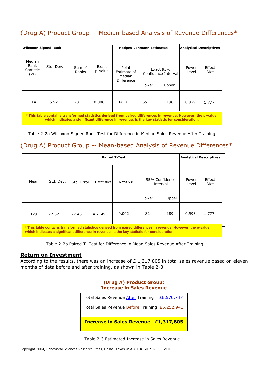## (Drug A) Product Group -- Median-based Analysis of Revenue Differences\*

| <b>Wilcoxon Signed Rank</b>                                                                                                                                                                                    |           |                 | <b>Hodges-Lehmann Estimates</b> |                                              |                                             | <b>Analytical Descriptives</b> |                |                       |
|----------------------------------------------------------------------------------------------------------------------------------------------------------------------------------------------------------------|-----------|-----------------|---------------------------------|----------------------------------------------|---------------------------------------------|--------------------------------|----------------|-----------------------|
| Median<br>Rank<br><b>Statistic</b><br>(W)                                                                                                                                                                      | Std. Dev. | Sum of<br>Ranks | Exact<br>p-value                | Point<br>Estimate of<br>Median<br>Difference | Exact $95%$<br>Confidence Interval<br>Lower | Upper                          | Power<br>Level | Effect<br><b>Size</b> |
| 14                                                                                                                                                                                                             | 5.92      | 28              | 0.008                           | 140.4                                        | 65                                          | 198                            | 0.979          | 1.777                 |
| * This table contains transformed statistics derived from paired differences in revenue. However, the p-value,<br>which indicates a significant difference in revenue, is the key statistic for consideration. |           |                 |                                 |                                              |                                             |                                |                |                       |

Table 2-2a Wilcoxon Signed Rank Test for Difference in Median Sales Revenue After Training

## (Drug A) Product Group -- Mean-based Analysis of Revenue Differences\*

| <b>Paired T-Test</b>                                                                                                                                                                                           |           |            |              |         | <b>Analytical Descriptives</b> |       |                |                       |
|----------------------------------------------------------------------------------------------------------------------------------------------------------------------------------------------------------------|-----------|------------|--------------|---------|--------------------------------|-------|----------------|-----------------------|
| Mean                                                                                                                                                                                                           | Std. Dev. | Std. Error | t-statistics | p-value | 95% Confidence<br>Interval     |       | Power<br>Level | Effect<br><b>Size</b> |
|                                                                                                                                                                                                                |           |            |              |         | Lower                          | Upper |                |                       |
| 129                                                                                                                                                                                                            | 72.62     | 27.45      | 4.7149       | 0.002   | 82                             | 189   | 0.993          | 1.777                 |
| * This table contains transformed statistics derived from paired differences in revenue. However, the p-value,<br>which indicates a significant difference in revenue, is the key statistic for consideration. |           |            |              |         |                                |       |                |                       |

Table 2-2b Paired T -Test for Difference in Mean Sales Revenue After Training

#### **Return on Investment**

According to the results, there was an increase of  $E$  1,317,805 in total sales revenue based on eleven months of data before and after training, as shown in Table 2-3.

| (Drug A) Product Group:<br><b>Increase in Sales Revenue</b> |  |  |  |  |
|-------------------------------------------------------------|--|--|--|--|
| Total Sales Revenue After Training<br>£6,570,747            |  |  |  |  |
| Total Sales Revenue <b>Before</b> Training £5,252,941       |  |  |  |  |
| <b>Increase in Sales Revenue £1,317,805</b>                 |  |  |  |  |

Table 2-3 Estimated Increase in Sales Revenue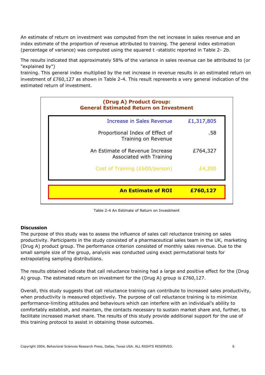An estimate of return on investment was computed from the net increase in sales revenue and an index estimate of the proportion of revenue attributed to training. The general index estimation (percentage of variance) was computed using the squared t -statistic reported in Table 2- 2b.

The results indicated that approximately 58% of the variance in sales revenue can be attributed to (or "explained by")

training. This general index multiplied by the net increase in revenue results in an estimated return on investment of £760,127 as shown in Table 2-4. This result represents a very general indication of the estimated return of investment.



Table 2-4 An Estimate of Return on Investment

#### **Discussion**

The purpose of this study was to assess the influence of sales call reluctance training on sales productivity. Participants in the study consisted of a pharmaceutical sales team in the UK, marketing (Drug A) product group. The performance criterion consisted of monthly sales revenue. Due to the small sample size of the group, analysis was conducted using exact permutational tests for extrapolating sampling distributions.

The results obtained indicate that call reluctance training had a large and positive effect for the (Drug A) group. The estimated return on investment for the (Drug A) group is £760,127.

Overall, this study suggests that call reluctance training can contribute to increased sales productivity, when productivity is measured objectively. The purpose of call reluctance training is to minimize performance-limiting attitudes and behaviours which can interfere with an individual's ability to comfortably establish, and maintain, the contacts necessary to sustain market share and, further, to facilitate increased market share. The results of this study provide additional support for the use of this training protocol to assist in obtaining those outcomes.